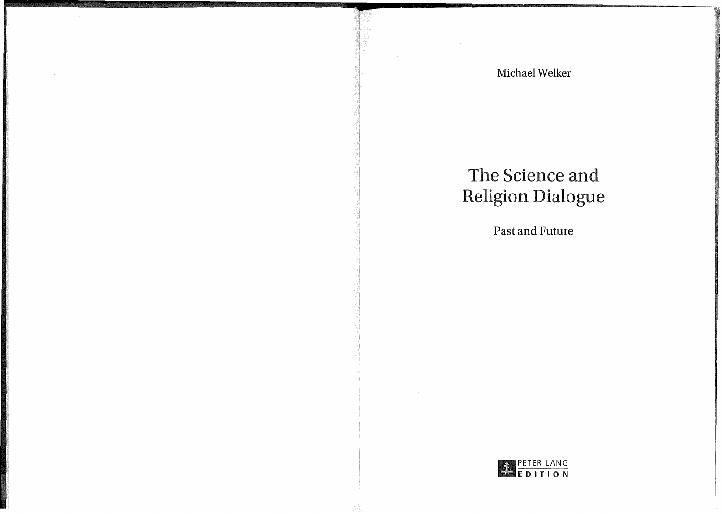# The Science and Religion Dialogue

**Past and Future** 

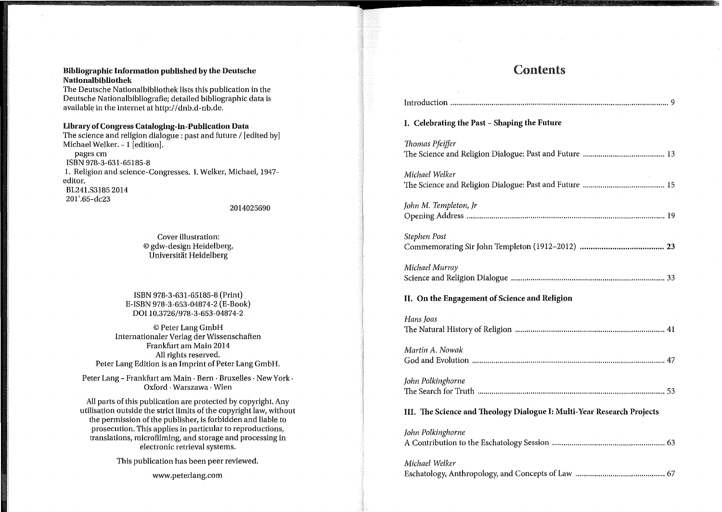#### **Bibliographic Information published by the Deutsche Nationalbibliothek**

The Deutsche Nationalbibliothek lists this publication in the Deutsche Nationalbibliografie; detailed bibliographic data is available in the internet at http://dnb.d-nb.de.

### **Library of Congress Cataloging-in-Publication Data**

The science and religion dialogue : past and future / [edited by] Michael Welker. - 1 [edition]. pages cm ISBN 978-3-631-65185-8 1. Religion and science-Congresses. I. Welker, Michael, 1947 editor. BL241.S3185 2014 201' .65-dc23

2014025690

Cover illustration: © gdw-design Heidelberg, Universitat Heidelberg

ISBN 978-3-631-65185-8 (Print) E-ISBN 978-3-653-04874-2 (E-Book) DOI 10.3726/978-3-653-04874-2

© Peter Lang GmbH Internationaler Verlag der Wissenschaften Frankfurt am Main 2014 All rights reserved. Peter Lang Edition is an Imprint of Peter Lang GmbH.

Peter Lang - Frankfurt am Main · Bern · Bruxelles · New York · Oxford · Warszawa · Wien

All parts of this publication are protected by copyright. Any utilisation outside the strict limits of the copyright law, without the permission of the publisher, is forbidden and liable to prosecution. This applies in particular to reproductions, translations, microfilming, and storage and processing in electronic retrieval systems.

This publication has been peer reviewed.

www.peterlang.com

### Contents

| I. Celebrating the Past - Shaping the Future                           |
|------------------------------------------------------------------------|
| Thomas Pfeiffer                                                        |
| Michael Welker                                                         |
| John M. Templeton, Jr                                                  |
| Stephen Post                                                           |
| Michael Murray                                                         |
| II. On the Engagement of Science and Religion                          |
| Hans Joas                                                              |
| Martin A. Nowak                                                        |
| John Polkinghorne                                                      |
|                                                                        |
| III. The Science and Theology Dialogue I: Multi-Year Research Projects |
| John Polkinghorne                                                      |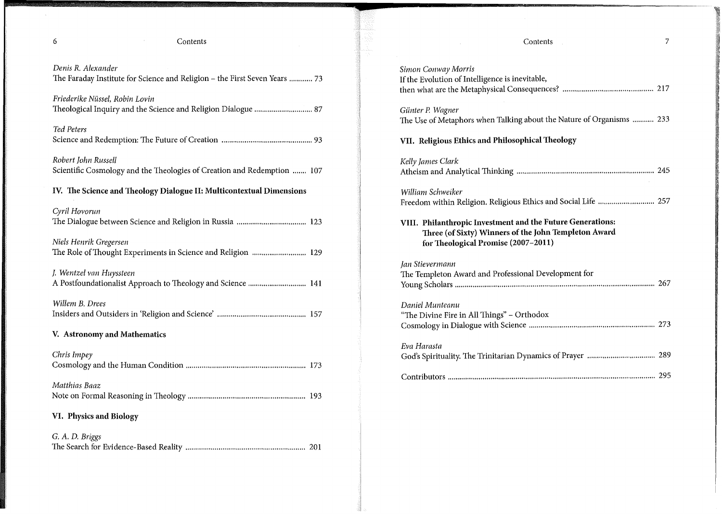$\mathcal{A}^{\mathcal{A}}$ 

### 6 Contents

| Denis R. Alexander<br>The Faraday Institute for Science and Religion - the First Seven Years  73 |
|--------------------------------------------------------------------------------------------------|
| Friederike Nüssel, Robin Lovin                                                                   |
| Ted Peters                                                                                       |
| Robert John Russell<br>Scientific Cosmology and the Theologies of Creation and Redemption  107   |
| IV. The Science and Theology Dialogue II: Multicontextual Dimensions                             |
| Cyril Hovorun                                                                                    |
| Niels Henrik Gregersen<br>The Role of Thought Experiments in Science and Religion  129           |
| J. Wentzel van Huyssteen<br>A Postfoundationalist Approach to Theology and Science  141          |
| Willem B. Drees                                                                                  |
| V. Astronomy and Mathematics                                                                     |
| Chris Impey                                                                                      |
| Matthias Baaz                                                                                    |
| VI. Physics and Biology                                                                          |
| G. A. D. Briggs                                                                                  |

| Simon Conway Morris<br>If the Evolution of Intelligence is inevitable,                                                                                    |  |
|-----------------------------------------------------------------------------------------------------------------------------------------------------------|--|
| Günter P. Wagner<br>The Use of Metaphors when Talking about the Nature of Organisms  233                                                                  |  |
| VII. Religious Ethics and Philosophical Theology                                                                                                          |  |
| Kelly James Clark                                                                                                                                         |  |
| William Schweiker<br>Freedom within Religion. Religious Ethics and Social Life  257                                                                       |  |
| VIII. Philanthropic Investment and the Future Generations:<br>Three (of Sixty) Winners of the John Templeton Award<br>for Theological Promise (2007-2011) |  |
| Jan Stievermann<br>The Templeton Award and Professional Development for                                                                                   |  |
| Daniel Munteanu<br>"The Divine Fire in All Things" - Orthodox                                                                                             |  |
| Eva Harasta                                                                                                                                               |  |
|                                                                                                                                                           |  |

Contents 7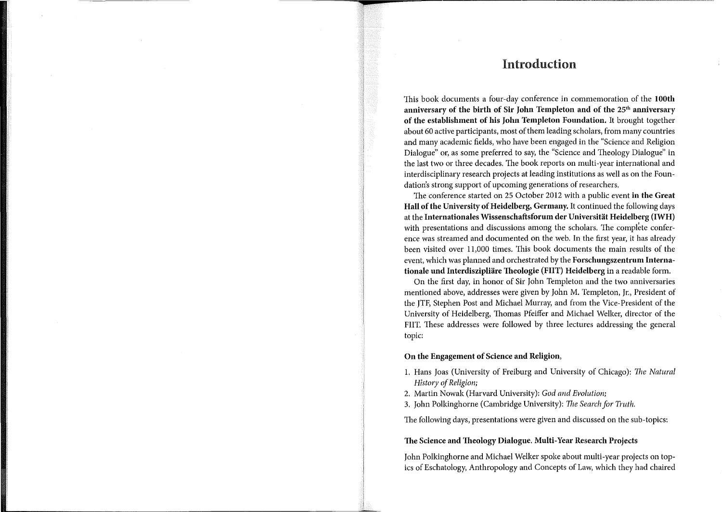### Introduction

This book documents a four-day conference in commemoration of the **100th**  anniversary of the birth of Sir John Templeton and of the 25<sup>th</sup> anniversary **of the establishment of his John Templeton Foundation.** It brought together about 60 active participants, most of them leading scholars, from many countries and many academic fields, who have been engaged in the "Science and Religion Dialogue" or, as some preferred to say, the "Science and Theology Dialogue" in the last two or three decades. The book reports on multi-year international and interdisciplinary research projects at leading institutions as well as on the Foundation's strong support of upcoming generations of researchers.

The conference started on 25 October 2012 with a public event **in the Great Hall of the University of Heidelberg, Germany.** It continued the following days at the **Internationales Wissenschaftsforum der Universitat Heidelberg (IWH)**  with presentations and discussions among the scholars. The complete conference was streamed and documented on the web. In the first year, it has already been visited over 11,000 times. This book documents the main results of the event, which was planned and orchestrated by the **Forschungszentrum Internationale und Interdiszipliare Theologie (FIIT) Heidelberg** in a readable form.

On the first day, in honor of Sir John Templeton and the two anniversaries mentioned above, addresses were given by John M. Templeton, Jr., President of the JTF, Stephen Post and Michael Murray, and from the Vice-President of the University of Heidelberg, Thomas Pfeiffer and Michael Welker, director of the FIIT. These addresses were followed by three lectures addressing the general topic:

### **On the Engagement of Science and Religion,**

- 1. Hans Joas (University of Freiburg and University of Chicago): *The Natural History of Religion;*
- 2. Martin Nowak (Harvard University): *God and Evolution;*
- 3. John Polkinghorne (Cambridge University): *The Search for Truth.*

The following days, presentations were given and discussed on the sub-topics:

### **The Science and Theology Dialogue. Multi-Year Research Projects**

John Polkinghorne and Michael Welker spoke about multi-year projects on topics of Eschatology, Anthropology and Concepts of Law, which they had chaired